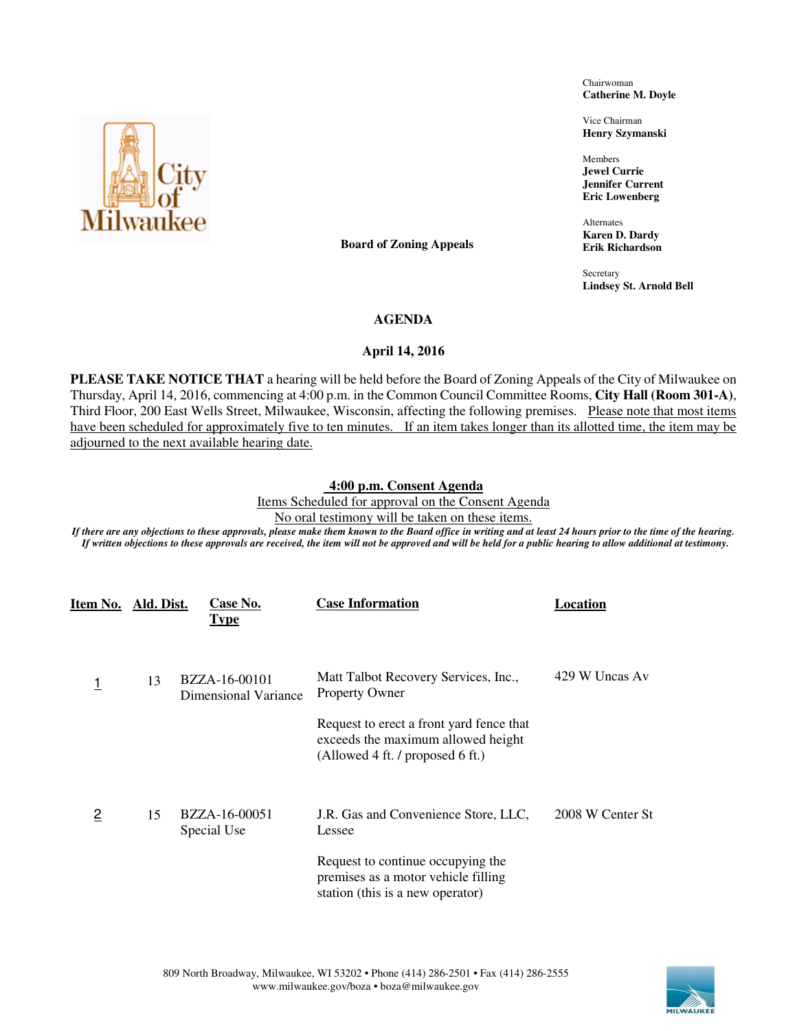Chairwoman **Catherine M. Doyle** 

Vice Chairman **Henry Szymanski** 

Members **Jewel Currie Jennifer Current Eric Lowenberg** 

Alternates **Karen D. Dardy Erik Richardson** 

Secretary **Lindsey St. Arnold Bell** 

#### **AGENDA**

**Board of Zoning Appeals** 

# **April 14, 2016**

**PLEASE TAKE NOTICE THAT** a hearing will be held before the Board of Zoning Appeals of the City of Milwaukee on Thursday, April 14, 2016, commencing at 4:00 p.m. in the Common Council Committee Rooms, **City Hall (Room 301-A)**, Third Floor, 200 East Wells Street, Milwaukee, Wisconsin, affecting the following premises. Please note that most items have been scheduled for approximately five to ten minutes. If an item takes longer than its allotted time, the item may be adjourned to the next available hearing date.

## **4:00 p.m. Consent Agenda**

Items Scheduled for approval on the Consent Agenda No oral testimony will be taken on these items.

*If there are any objections to these approvals, please make them known to the Board office in writing and at least 24 hours prior to the time of the hearing. If written objections to these approvals are received, the item will not be approved and will be held for a public hearing to allow additional at testimony.* 

| Item No.       | Ald. Dist. | Case No.<br><b>Type</b>               | <b>Case Information</b>                                                                                            | Location         |
|----------------|------------|---------------------------------------|--------------------------------------------------------------------------------------------------------------------|------------------|
| 1              | 13         | BZZA-16-00101<br>Dimensional Variance | Matt Talbot Recovery Services, Inc.,<br><b>Property Owner</b>                                                      | 429 W Uncas Av   |
|                |            |                                       | Request to erect a front yard fence that<br>exceeds the maximum allowed height<br>(Allowed 4 ft. / proposed 6 ft.) |                  |
| $\overline{2}$ | 15         | BZZA-16-00051<br>Special Use          | J.R. Gas and Convenience Store, LLC,<br>Lessee                                                                     | 2008 W Center St |
|                |            |                                       | Request to continue occupying the<br>premises as a motor vehicle filling<br>station (this is a new operator)       |                  |



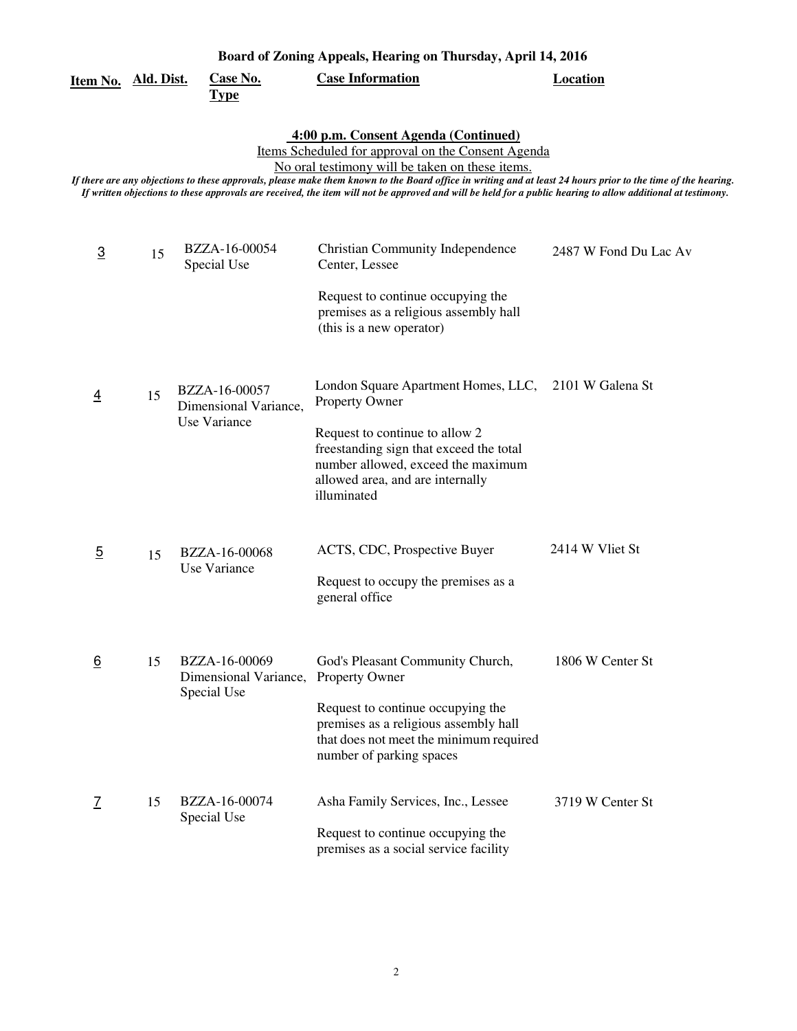|                     | Board of Zoning Appeals, Hearing on Thursday, April 14, 2016 |                                                        |                                                                                                                                                                                                                                                                                                                                                                                                                                                                                |                       |  |  |
|---------------------|--------------------------------------------------------------|--------------------------------------------------------|--------------------------------------------------------------------------------------------------------------------------------------------------------------------------------------------------------------------------------------------------------------------------------------------------------------------------------------------------------------------------------------------------------------------------------------------------------------------------------|-----------------------|--|--|
| Item No. Ald. Dist. |                                                              | <b>Case No.</b><br><b>Type</b>                         | <b>Case Information</b>                                                                                                                                                                                                                                                                                                                                                                                                                                                        | <b>Location</b>       |  |  |
|                     |                                                              |                                                        | 4:00 p.m. Consent Agenda (Continued)<br>Items Scheduled for approval on the Consent Agenda<br>No oral testimony will be taken on these items.<br>If there are any objections to these approvals, please make them known to the Board office in writing and at least 24 hours prior to the time of the hearing.<br>If written objections to these approvals are received, the item will not be approved and will be held for a public hearing to allow additional at testimony. |                       |  |  |
| $\overline{3}$      | 15                                                           | BZZA-16-00054<br>Special Use                           | <b>Christian Community Independence</b><br>Center, Lessee<br>Request to continue occupying the<br>premises as a religious assembly hall<br>(this is a new operator)                                                                                                                                                                                                                                                                                                            | 2487 W Fond Du Lac Av |  |  |
| $\overline{4}$      | 15                                                           | BZZA-16-00057<br>Dimensional Variance,<br>Use Variance | London Square Apartment Homes, LLC, 2101 W Galena St<br>Property Owner<br>Request to continue to allow 2<br>freestanding sign that exceed the total<br>number allowed, exceed the maximum<br>allowed area, and are internally<br>illuminated                                                                                                                                                                                                                                   |                       |  |  |
| $\overline{5}$      | 15                                                           | BZZA-16-00068<br>Use Variance                          | ACTS, CDC, Prospective Buyer<br>Request to occupy the premises as a<br>general office                                                                                                                                                                                                                                                                                                                                                                                          | 2414 W Vliet St       |  |  |
| 6                   | 15                                                           | BZZA-16-00069<br>Dimensional Variance,<br>Special Use  | God's Pleasant Community Church,<br>Property Owner<br>Request to continue occupying the<br>premises as a religious assembly hall<br>that does not meet the minimum required<br>number of parking spaces                                                                                                                                                                                                                                                                        | 1806 W Center St      |  |  |
| 7                   | 15                                                           | BZZA-16-00074<br>Special Use                           | Asha Family Services, Inc., Lessee<br>Request to continue occupying the<br>premises as a social service facility                                                                                                                                                                                                                                                                                                                                                               | 3719 W Center St      |  |  |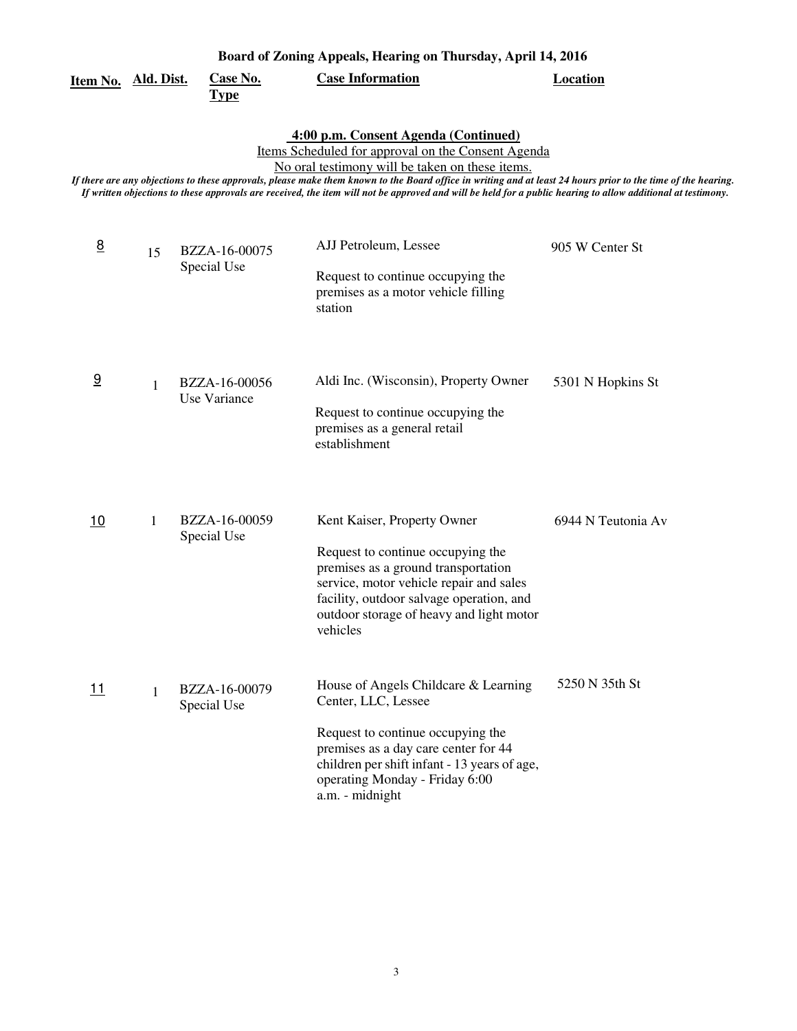|                 | Board of Zoning Appeals, Hearing on Thursday, April 14, 2016 |                                |                                                                                                                                                                                                                                                                                                                                                                                                                                                                                |                    |  |  |
|-----------------|--------------------------------------------------------------|--------------------------------|--------------------------------------------------------------------------------------------------------------------------------------------------------------------------------------------------------------------------------------------------------------------------------------------------------------------------------------------------------------------------------------------------------------------------------------------------------------------------------|--------------------|--|--|
| <u>Item No.</u> | <u>Ald. Dist.</u>                                            | <b>Case No.</b><br><b>Type</b> | <b>Case Information</b>                                                                                                                                                                                                                                                                                                                                                                                                                                                        | <b>Location</b>    |  |  |
|                 |                                                              |                                | 4:00 p.m. Consent Agenda (Continued)<br>Items Scheduled for approval on the Consent Agenda<br>No oral testimony will be taken on these items.<br>If there are any objections to these approvals, please make them known to the Board office in writing and at least 24 hours prior to the time of the hearing.<br>If written objections to these approvals are received, the item will not be approved and will be held for a public hearing to allow additional at testimony. |                    |  |  |
| $\underline{8}$ | 15                                                           | BZZA-16-00075<br>Special Use   | AJJ Petroleum, Lessee<br>Request to continue occupying the<br>premises as a motor vehicle filling<br>station                                                                                                                                                                                                                                                                                                                                                                   | 905 W Center St    |  |  |
| 9               | $\mathbf{1}$                                                 | BZZA-16-00056<br>Use Variance  | Aldi Inc. (Wisconsin), Property Owner<br>Request to continue occupying the<br>premises as a general retail<br>establishment                                                                                                                                                                                                                                                                                                                                                    | 5301 N Hopkins St  |  |  |
| 10              | $\mathbf{1}$                                                 | BZZA-16-00059<br>Special Use   | Kent Kaiser, Property Owner<br>Request to continue occupying the<br>premises as a ground transportation<br>service, motor vehicle repair and sales<br>facility, outdoor salvage operation, and<br>outdoor storage of heavy and light motor<br>vehicles                                                                                                                                                                                                                         | 6944 N Teutonia Av |  |  |
| 11              | $\mathbf{1}$                                                 | BZZA-16-00079<br>Special Use   | House of Angels Childcare & Learning<br>Center, LLC, Lessee<br>Request to continue occupying the<br>premises as a day care center for 44<br>children per shift infant - 13 years of age,<br>operating Monday - Friday 6:00<br>a.m. - midnight                                                                                                                                                                                                                                  | 5250 N 35th St     |  |  |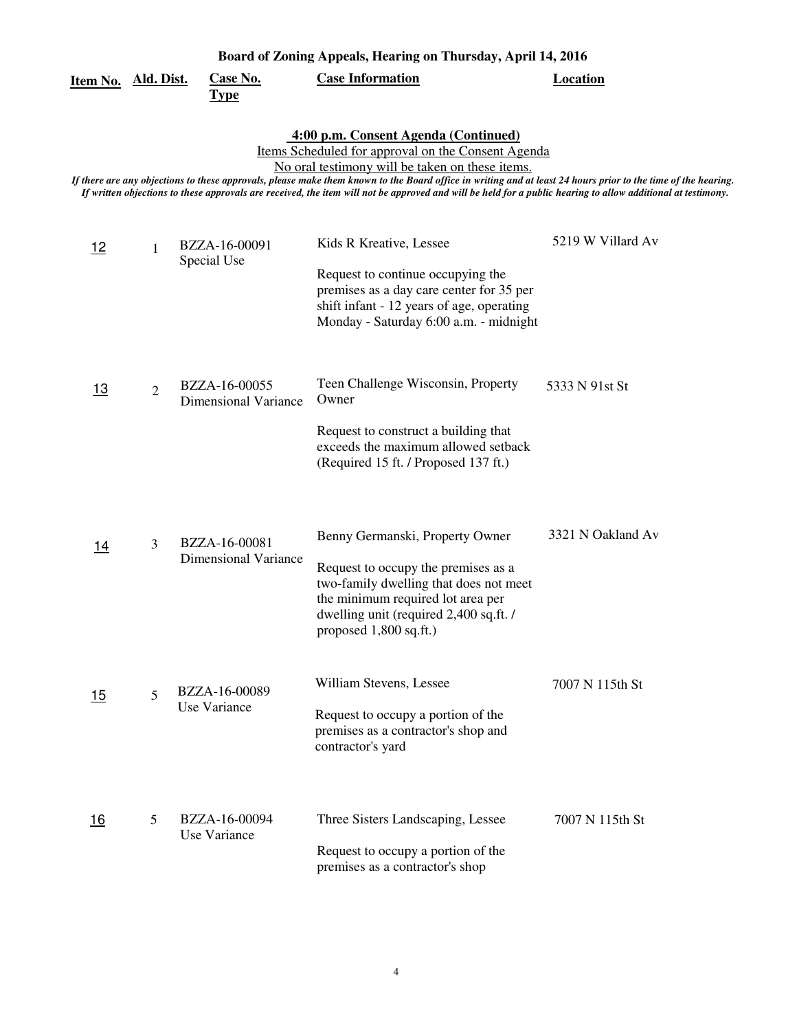| Board of Zoning Appeals, Hearing on Thursday, April 14, 2016 |                |                                              |                                                                                                                                                                                                                                                                                                                                                                                                                                                                                |                   |  |
|--------------------------------------------------------------|----------------|----------------------------------------------|--------------------------------------------------------------------------------------------------------------------------------------------------------------------------------------------------------------------------------------------------------------------------------------------------------------------------------------------------------------------------------------------------------------------------------------------------------------------------------|-------------------|--|
| Item No. Ald. Dist.                                          |                | <b>Case No.</b><br><u>Type</u>               | <b>Case Information</b>                                                                                                                                                                                                                                                                                                                                                                                                                                                        | <b>Location</b>   |  |
|                                                              |                |                                              | 4:00 p.m. Consent Agenda (Continued)<br>Items Scheduled for approval on the Consent Agenda<br>No oral testimony will be taken on these items.<br>If there are any objections to these approvals, please make them known to the Board office in writing and at least 24 hours prior to the time of the hearing.<br>If written objections to these approvals are received, the item will not be approved and will be held for a public hearing to allow additional at testimony. |                   |  |
| <u> 12</u>                                                   | 1              | BZZA-16-00091<br>Special Use                 | Kids R Kreative, Lessee<br>Request to continue occupying the<br>premises as a day care center for 35 per<br>shift infant - 12 years of age, operating<br>Monday - Saturday 6:00 a.m. - midnight                                                                                                                                                                                                                                                                                | 5219 W Villard Av |  |
| <u>13</u>                                                    | $\overline{2}$ | BZZA-16-00055<br><b>Dimensional Variance</b> | Teen Challenge Wisconsin, Property<br>Owner<br>Request to construct a building that<br>exceeds the maximum allowed setback<br>(Required 15 ft. / Proposed 137 ft.)                                                                                                                                                                                                                                                                                                             | 5333 N 91st St    |  |
| <u> 14</u>                                                   | 3              | BZZA-16-00081<br><b>Dimensional Variance</b> | Benny Germanski, Property Owner<br>Request to occupy the premises as a<br>two-family dwelling that does not meet<br>the minimum required lot area per<br>dwelling unit (required 2,400 sq.ft. /<br>proposed 1,800 sq.ft.)                                                                                                                                                                                                                                                      | 3321 N Oakland Av |  |
| 15                                                           | 5              | BZZA-16-00089<br>Use Variance                | William Stevens, Lessee<br>Request to occupy a portion of the<br>premises as a contractor's shop and<br>contractor's yard                                                                                                                                                                                                                                                                                                                                                      | 7007 N 115th St   |  |
| <u> 16</u>                                                   | 5              | BZZA-16-00094<br>Use Variance                | Three Sisters Landscaping, Lessee<br>Request to occupy a portion of the<br>premises as a contractor's shop                                                                                                                                                                                                                                                                                                                                                                     | 7007 N 115th St   |  |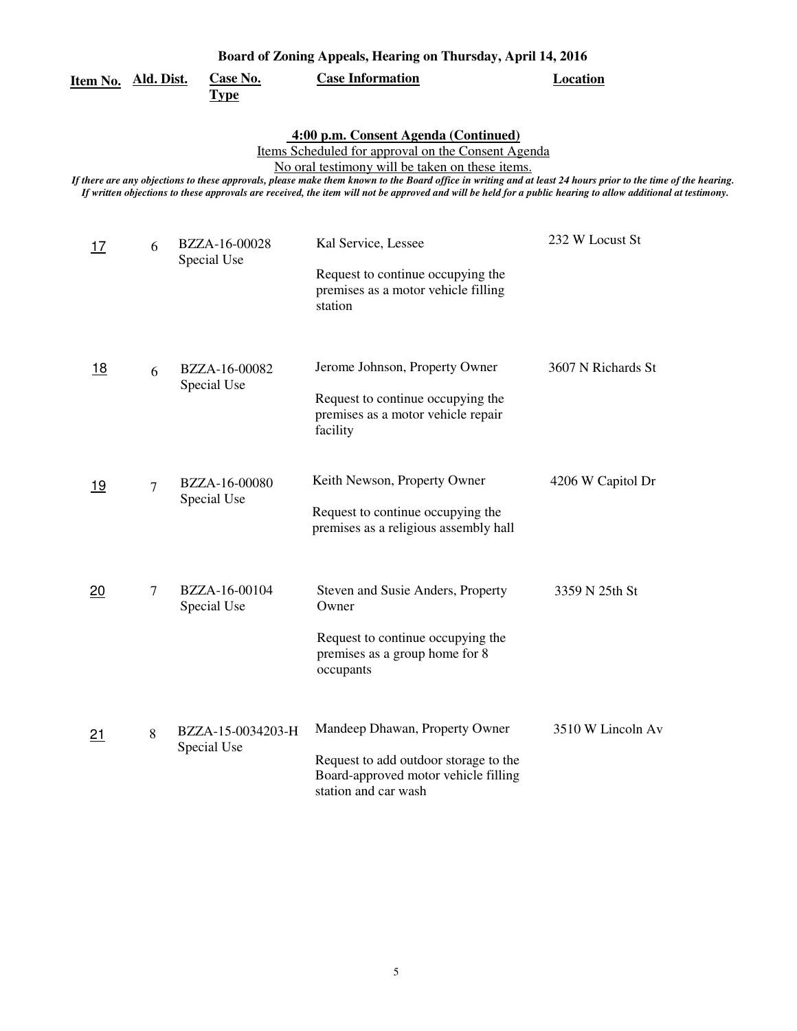| Board of Zoning Appeals, Hearing on Thursday, April 14, 2016 |   |                                  |                                                                                                                                                                                                                                                                                                                                                                                                                                                                                |                    |  |
|--------------------------------------------------------------|---|----------------------------------|--------------------------------------------------------------------------------------------------------------------------------------------------------------------------------------------------------------------------------------------------------------------------------------------------------------------------------------------------------------------------------------------------------------------------------------------------------------------------------|--------------------|--|
| <u>Item No. Ald. Dist.</u>                                   |   | <b>Case No.</b><br><u>Type</u>   | <b>Case Information</b>                                                                                                                                                                                                                                                                                                                                                                                                                                                        | <b>Location</b>    |  |
|                                                              |   |                                  | 4:00 p.m. Consent Agenda (Continued)<br>Items Scheduled for approval on the Consent Agenda<br>No oral testimony will be taken on these items.<br>If there are any objections to these approvals, please make them known to the Board office in writing and at least 24 hours prior to the time of the hearing.<br>If written objections to these approvals are received, the item will not be approved and will be held for a public hearing to allow additional at testimony. |                    |  |
| 17                                                           | 6 | BZZA-16-00028<br>Special Use     | Kal Service, Lessee<br>Request to continue occupying the<br>premises as a motor vehicle filling<br>station                                                                                                                                                                                                                                                                                                                                                                     | 232 W Locust St    |  |
| <u>18</u>                                                    | 6 | BZZA-16-00082<br>Special Use     | Jerome Johnson, Property Owner<br>Request to continue occupying the<br>premises as a motor vehicle repair<br>facility                                                                                                                                                                                                                                                                                                                                                          | 3607 N Richards St |  |
| 19                                                           | 7 | BZZA-16-00080<br>Special Use     | Keith Newson, Property Owner<br>Request to continue occupying the<br>premises as a religious assembly hall                                                                                                                                                                                                                                                                                                                                                                     | 4206 W Capitol Dr  |  |
| 20                                                           | 7 | BZZA-16-00104<br>Special Use     | Steven and Susie Anders, Property<br>Owner<br>Request to continue occupying the<br>premises as a group home for 8<br>occupants                                                                                                                                                                                                                                                                                                                                                 | 3359 N 25th St     |  |
| 21                                                           | 8 | BZZA-15-0034203-H<br>Special Use | Mandeep Dhawan, Property Owner<br>Request to add outdoor storage to the<br>Board-approved motor vehicle filling<br>station and car wash                                                                                                                                                                                                                                                                                                                                        | 3510 W Lincoln Av  |  |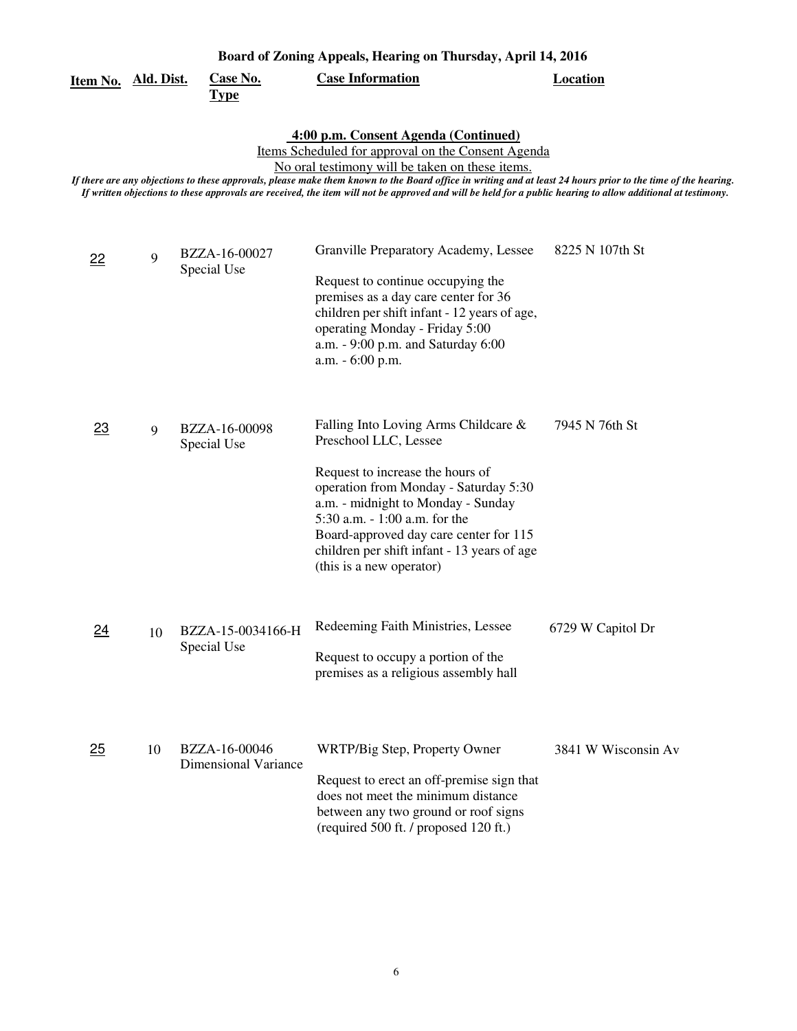|                     | Board of Zoning Appeals, Hearing on Thursday, April 14, 2016 |                                              |                                                                                                                                                                                                                                                                                                                                                                                                                                                                                |                     |  |  |
|---------------------|--------------------------------------------------------------|----------------------------------------------|--------------------------------------------------------------------------------------------------------------------------------------------------------------------------------------------------------------------------------------------------------------------------------------------------------------------------------------------------------------------------------------------------------------------------------------------------------------------------------|---------------------|--|--|
| Item No. Ald. Dist. |                                                              | <b>Case No.</b><br><b>Type</b>               | <b>Case Information</b>                                                                                                                                                                                                                                                                                                                                                                                                                                                        | <b>Location</b>     |  |  |
|                     |                                                              |                                              | 4:00 p.m. Consent Agenda (Continued)<br>Items Scheduled for approval on the Consent Agenda<br>No oral testimony will be taken on these items.<br>If there are any objections to these approvals, please make them known to the Board office in writing and at least 24 hours prior to the time of the hearing.<br>If written objections to these approvals are received, the item will not be approved and will be held for a public hearing to allow additional at testimony. |                     |  |  |
| 22                  | 9                                                            | BZZA-16-00027<br>Special Use                 | Granville Preparatory Academy, Lessee<br>Request to continue occupying the<br>premises as a day care center for 36<br>children per shift infant - 12 years of age,<br>operating Monday - Friday 5:00<br>a.m. - 9:00 p.m. and Saturday 6:00<br>$a.m. - 6:00 p.m.$                                                                                                                                                                                                               | 8225 N 107th St     |  |  |
| 23                  | 9                                                            | BZZA-16-00098<br>Special Use                 | Falling Into Loving Arms Childcare &<br>Preschool LLC, Lessee<br>Request to increase the hours of<br>operation from Monday - Saturday 5:30<br>a.m. - midnight to Monday - Sunday<br>5:30 a.m. - 1:00 a.m. for the<br>Board-approved day care center for 115<br>children per shift infant - 13 years of age<br>(this is a new operator)                                                                                                                                         | 7945 N 76th St      |  |  |
| $\overline{24}$     |                                                              | 10 BZZA-15-0034166-H<br>Special Use          | Redeeming Faith Ministries, Lessee<br>Request to occupy a portion of the<br>premises as a religious assembly hall                                                                                                                                                                                                                                                                                                                                                              | 6729 W Capitol Dr   |  |  |
| 25                  | 10                                                           | BZZA-16-00046<br><b>Dimensional Variance</b> | WRTP/Big Step, Property Owner<br>Request to erect an off-premise sign that<br>does not meet the minimum distance<br>between any two ground or roof signs<br>(required 500 ft. / proposed 120 ft.)                                                                                                                                                                                                                                                                              | 3841 W Wisconsin Av |  |  |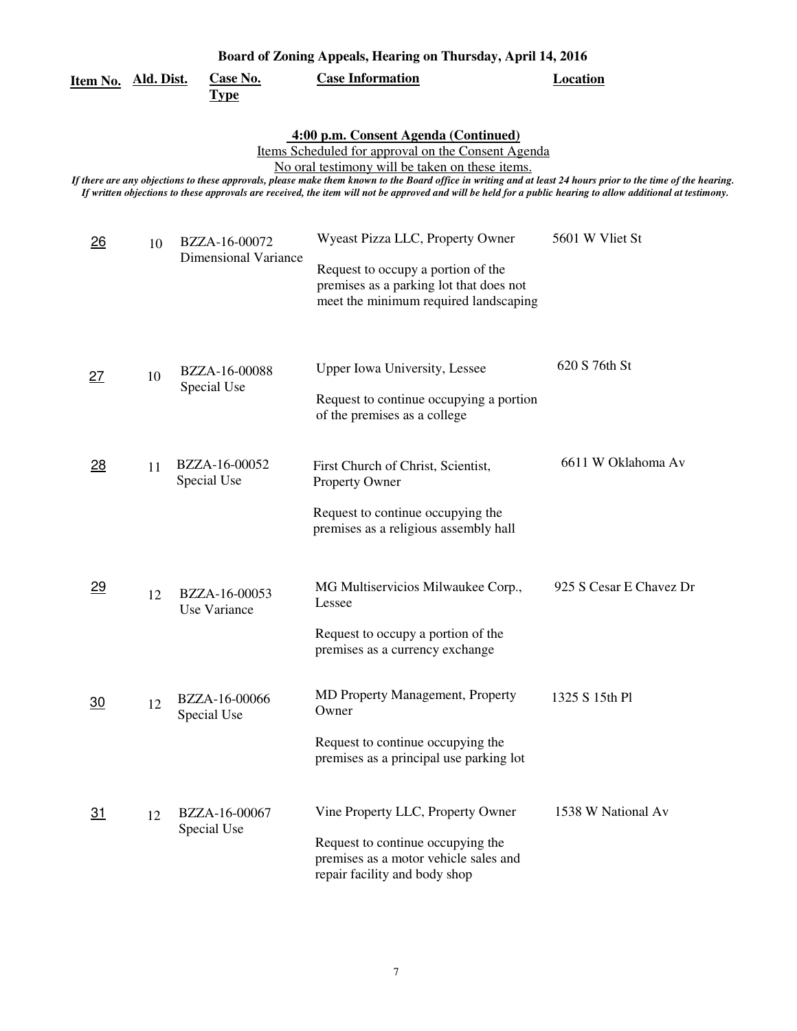|                     | Board of Zoning Appeals, Hearing on Thursday, April 14, 2016 |                                              |                                                                                                                                                                                                                                                                                                                                                                                                                                                                                |                         |  |  |
|---------------------|--------------------------------------------------------------|----------------------------------------------|--------------------------------------------------------------------------------------------------------------------------------------------------------------------------------------------------------------------------------------------------------------------------------------------------------------------------------------------------------------------------------------------------------------------------------------------------------------------------------|-------------------------|--|--|
| Item No. Ald. Dist. |                                                              | <b>Case No.</b><br><b>Type</b>               | <b>Case Information</b>                                                                                                                                                                                                                                                                                                                                                                                                                                                        | <b>Location</b>         |  |  |
|                     |                                                              |                                              | 4:00 p.m. Consent Agenda (Continued)<br>Items Scheduled for approval on the Consent Agenda<br>No oral testimony will be taken on these items.<br>If there are any objections to these approvals, please make them known to the Board office in writing and at least 24 hours prior to the time of the hearing.<br>If written objections to these approvals are received, the item will not be approved and will be held for a public hearing to allow additional at testimony. |                         |  |  |
| $\overline{26}$     | 10                                                           | BZZA-16-00072<br><b>Dimensional Variance</b> | Wyeast Pizza LLC, Property Owner<br>Request to occupy a portion of the<br>premises as a parking lot that does not<br>meet the minimum required landscaping                                                                                                                                                                                                                                                                                                                     | 5601 W Vliet St         |  |  |
| 27                  | 10                                                           | BZZA-16-00088<br>Special Use                 | Upper Iowa University, Lessee<br>Request to continue occupying a portion<br>of the premises as a college                                                                                                                                                                                                                                                                                                                                                                       | 620 S 76th St           |  |  |
| <u>28</u>           | 11                                                           | BZZA-16-00052<br>Special Use                 | First Church of Christ, Scientist,<br>Property Owner<br>Request to continue occupying the<br>premises as a religious assembly hall                                                                                                                                                                                                                                                                                                                                             | 6611 W Oklahoma Av      |  |  |
| 29                  | 12                                                           | BZZA-16-00053<br>Use Variance                | MG Multiservicios Milwaukee Corp.,<br>Lessee<br>Request to occupy a portion of the<br>premises as a currency exchange                                                                                                                                                                                                                                                                                                                                                          | 925 S Cesar E Chavez Dr |  |  |
| $\overline{30}$     | 12                                                           | BZZA-16-00066<br>Special Use                 | MD Property Management, Property<br>Owner<br>Request to continue occupying the<br>premises as a principal use parking lot                                                                                                                                                                                                                                                                                                                                                      | 1325 S 15th Pl          |  |  |
| <u>31</u>           | 12                                                           | BZZA-16-00067<br>Special Use                 | Vine Property LLC, Property Owner<br>Request to continue occupying the<br>premises as a motor vehicle sales and<br>repair facility and body shop                                                                                                                                                                                                                                                                                                                               | 1538 W National Av      |  |  |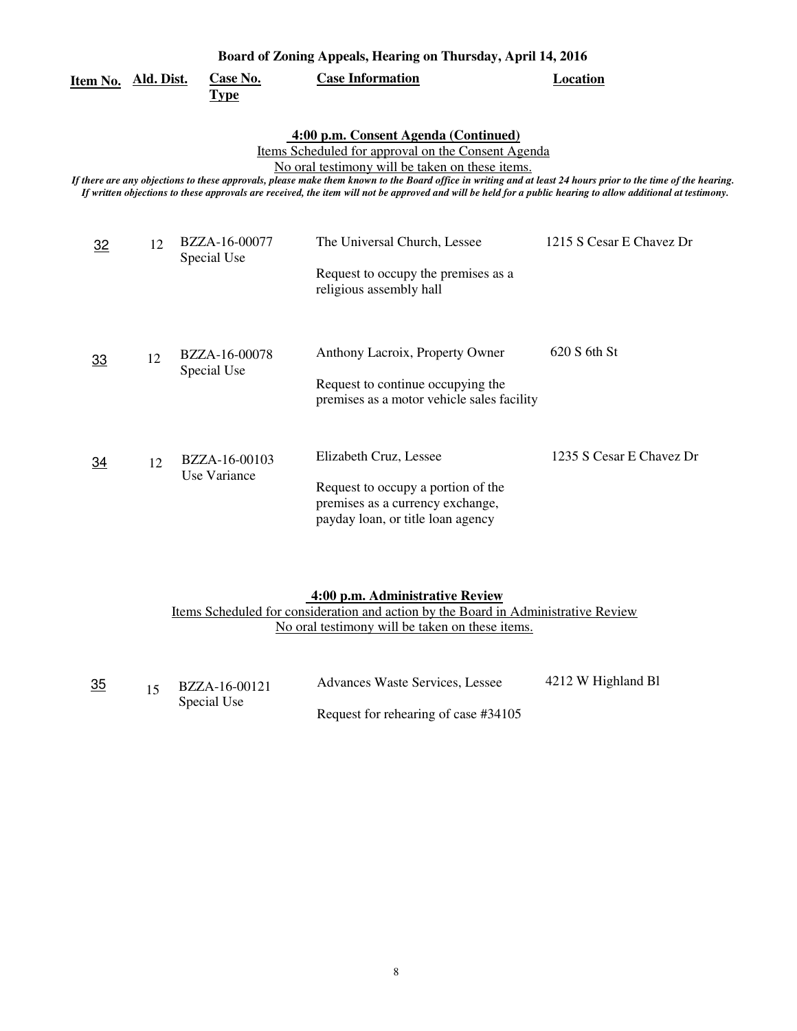| Board of Zoning Appeals, Hearing on Thursday, April 14, 2016 |                                                                                                                                                                                                                                                                                                                                                                                                                                                                                |                               |                                                                                                                                                                          |                          |  |  |  |
|--------------------------------------------------------------|--------------------------------------------------------------------------------------------------------------------------------------------------------------------------------------------------------------------------------------------------------------------------------------------------------------------------------------------------------------------------------------------------------------------------------------------------------------------------------|-------------------------------|--------------------------------------------------------------------------------------------------------------------------------------------------------------------------|--------------------------|--|--|--|
| Item No. Ald. Dist.                                          |                                                                                                                                                                                                                                                                                                                                                                                                                                                                                | Case No.<br><b>Type</b>       | <b>Case Information</b>                                                                                                                                                  | <b>Location</b>          |  |  |  |
|                                                              | 4:00 p.m. Consent Agenda (Continued)<br>Items Scheduled for approval on the Consent Agenda<br>No oral testimony will be taken on these items.<br>If there are any objections to these approvals, please make them known to the Board office in writing and at least 24 hours prior to the time of the hearing.<br>If written objections to these approvals are received, the item will not be approved and will be held for a public hearing to allow additional at testimony. |                               |                                                                                                                                                                          |                          |  |  |  |
| 32                                                           | 12                                                                                                                                                                                                                                                                                                                                                                                                                                                                             | BZZA-16-00077<br>Special Use  | The Universal Church, Lessee<br>Request to occupy the premises as a<br>religious assembly hall                                                                           | 1215 S Cesar E Chavez Dr |  |  |  |
| 33                                                           | 12                                                                                                                                                                                                                                                                                                                                                                                                                                                                             | BZZA-16-00078<br>Special Use  | Anthony Lacroix, Property Owner<br>Request to continue occupying the<br>premises as a motor vehicle sales facility                                                       | 620 S 6th St             |  |  |  |
| $\overline{34}$                                              | 12                                                                                                                                                                                                                                                                                                                                                                                                                                                                             | BZZA-16-00103<br>Use Variance | Elizabeth Cruz, Lessee<br>Request to occupy a portion of the<br>premises as a currency exchange,<br>payday loan, or title loan agency                                    | 1235 S Cesar E Chavez Dr |  |  |  |
|                                                              |                                                                                                                                                                                                                                                                                                                                                                                                                                                                                |                               | 4:00 p.m. Administrative Review<br>Items Scheduled for consideration and action by the Board in Administrative Review<br>No oral testimony will be taken on these items. |                          |  |  |  |

| 15 | BZZA-16-00121 | Advances Waste Services, Lessee      | 4212 W Highland Bl |
|----|---------------|--------------------------------------|--------------------|
|    | Special Use   |                                      |                    |
|    |               | Request for rehearing of case #34105 |                    |

<u>35</u>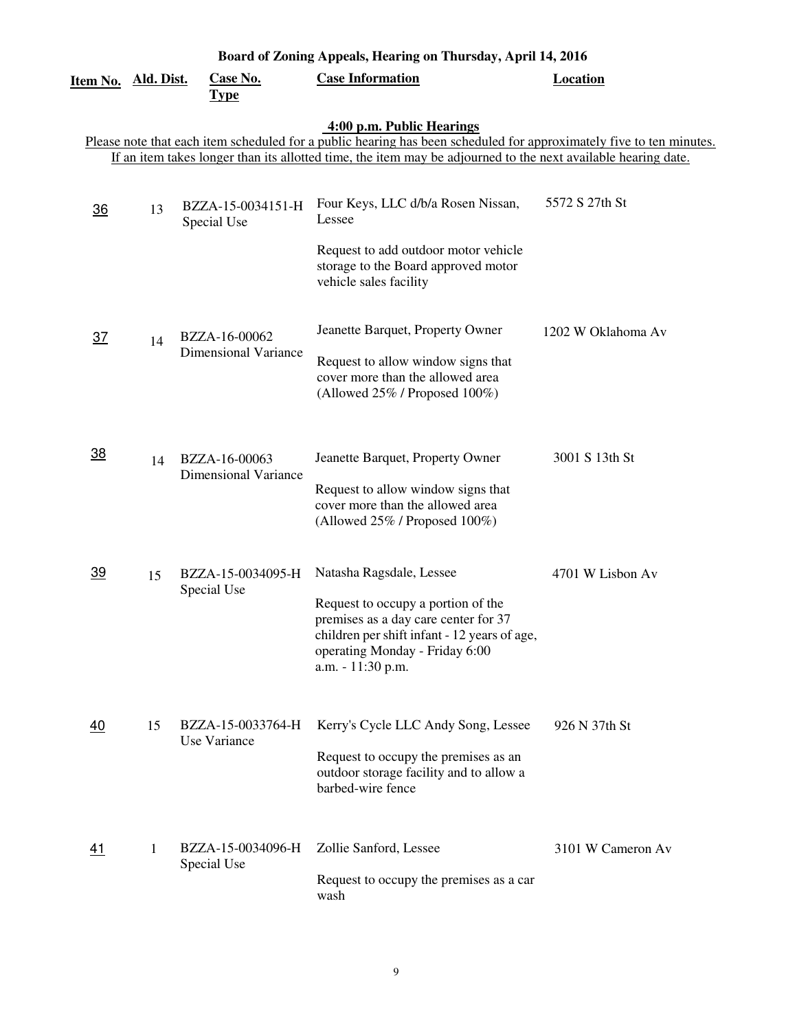| Board of Zoning Appeals, Hearing on Thursday, April 14, 2016 |                   |                                              |                                                                                                                                                                                                                                                                   |                    |  |
|--------------------------------------------------------------|-------------------|----------------------------------------------|-------------------------------------------------------------------------------------------------------------------------------------------------------------------------------------------------------------------------------------------------------------------|--------------------|--|
| Item No.                                                     | <u>Ald. Dist.</u> | <b>Case No.</b><br><b>Type</b>               | <b>Case Information</b>                                                                                                                                                                                                                                           | <b>Location</b>    |  |
|                                                              |                   |                                              | 4:00 p.m. Public Hearings<br>Please note that each item scheduled for a public hearing has been scheduled for approximately five to ten minutes.<br>If an item takes longer than its allotted time, the item may be adjourned to the next available hearing date. |                    |  |
| 36                                                           | 13                | BZZA-15-0034151-H<br>Special Use             | Four Keys, LLC d/b/a Rosen Nissan,<br>Lessee<br>Request to add outdoor motor vehicle<br>storage to the Board approved motor<br>vehicle sales facility                                                                                                             | 5572 S 27th St     |  |
| $\overline{37}$                                              | 14                | BZZA-16-00062<br><b>Dimensional Variance</b> | Jeanette Barquet, Property Owner<br>Request to allow window signs that<br>cover more than the allowed area<br>(Allowed 25% / Proposed 100%)                                                                                                                       | 1202 W Oklahoma Av |  |
| $\overline{38}$                                              | 14                | BZZA-16-00063<br><b>Dimensional Variance</b> | Jeanette Barquet, Property Owner<br>Request to allow window signs that<br>cover more than the allowed area<br>(Allowed 25% / Proposed 100%)                                                                                                                       | 3001 S 13th St     |  |
| <u>39</u>                                                    | 15                | BZZA-15-0034095-H<br>Special Use             | Natasha Ragsdale, Lessee<br>Request to occupy a portion of the<br>premises as a day care center for 37<br>children per shift infant - 12 years of age,<br>operating Monday - Friday 6:00<br>a.m. - 11:30 p.m.                                                     | 4701 W Lisbon Av   |  |
| <u>40</u>                                                    | 15                | BZZA-15-0033764-H<br>Use Variance            | Kerry's Cycle LLC Andy Song, Lessee<br>Request to occupy the premises as an<br>outdoor storage facility and to allow a<br>barbed-wire fence                                                                                                                       | 926 N 37th St      |  |
| 41                                                           | 1                 | BZZA-15-0034096-H<br>Special Use             | Zollie Sanford, Lessee<br>Request to occupy the premises as a car<br>wash                                                                                                                                                                                         | 3101 W Cameron Av  |  |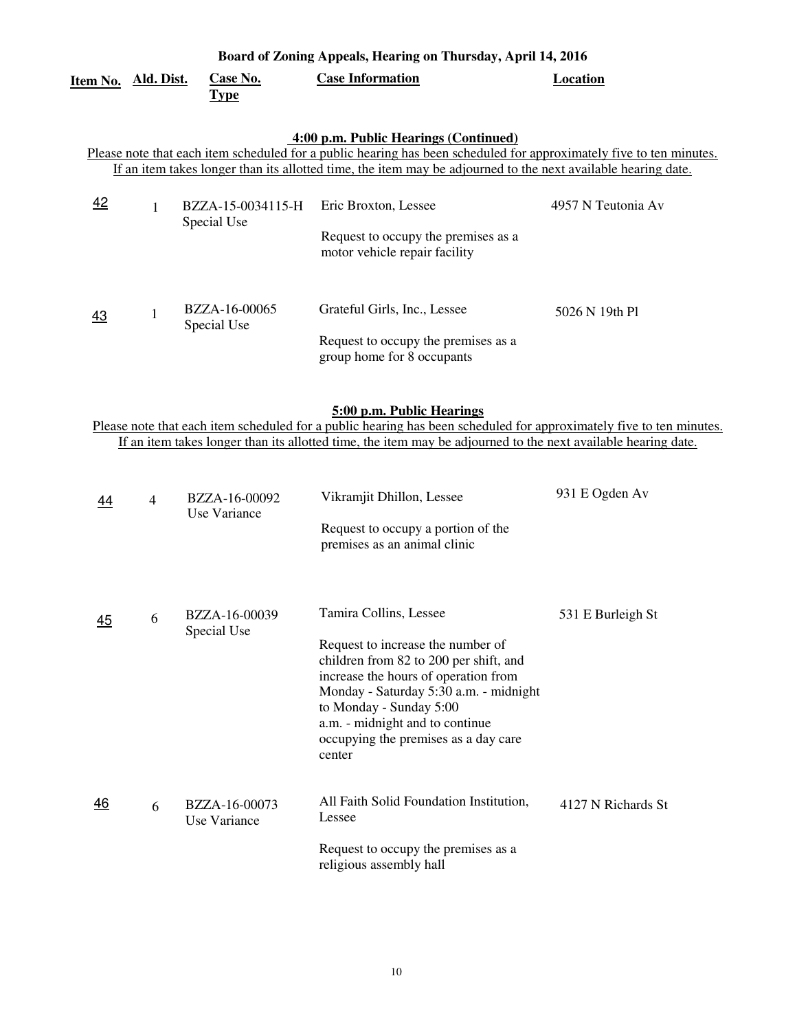|                            |                |                                  | Board of Zoning Appeals, Hearing on Thursday, April 14, 2016                                                                                                                                                                                                                                            |                    |
|----------------------------|----------------|----------------------------------|---------------------------------------------------------------------------------------------------------------------------------------------------------------------------------------------------------------------------------------------------------------------------------------------------------|--------------------|
| <u>Item No. Ald. Dist.</u> |                | <b>Case No.</b><br><b>Type</b>   | <b>Case Information</b>                                                                                                                                                                                                                                                                                 | Location           |
|                            |                |                                  | 4:00 p.m. Public Hearings (Continued)<br>Please note that each item scheduled for a public hearing has been scheduled for approximately five to ten minutes.<br>If an item takes longer than its allotted time, the item may be adjourned to the next available hearing date.                           |                    |
| 42                         | $\mathbf{1}$   | BZZA-15-0034115-H<br>Special Use | Eric Broxton, Lessee<br>Request to occupy the premises as a<br>motor vehicle repair facility                                                                                                                                                                                                            | 4957 N Teutonia Av |
| 43                         | $\mathbf{1}$   | BZZA-16-00065<br>Special Use     | Grateful Girls, Inc., Lessee<br>Request to occupy the premises as a<br>group home for 8 occupants                                                                                                                                                                                                       | 5026 N 19th Pl     |
|                            |                |                                  | 5:00 p.m. Public Hearings<br>Please note that each item scheduled for a public hearing has been scheduled for approximately five to ten minutes.<br>If an item takes longer than its allotted time, the item may be adjourned to the next available hearing date.                                       |                    |
| 44                         | $\overline{4}$ | BZZA-16-00092<br>Use Variance    | Vikramjit Dhillon, Lessee<br>Request to occupy a portion of the<br>premises as an animal clinic                                                                                                                                                                                                         | 931 E Ogden Av     |
| 45                         | 6              | BZZA-16-00039<br>Special Use     | Tamira Collins, Lessee<br>Request to increase the number of<br>children from 82 to 200 per shift, and<br>increase the hours of operation from<br>Monday - Saturday 5:30 a.m. - midnight<br>to Monday - Sunday 5:00<br>a.m. - midnight and to continue<br>occupying the premises as a day care<br>center | 531 E Burleigh St  |
| 46                         | 6              | BZZA-16-00073<br>Use Variance    | All Faith Solid Foundation Institution,<br>Lessee<br>Request to occupy the premises as a<br>religious assembly hall                                                                                                                                                                                     | 4127 N Richards St |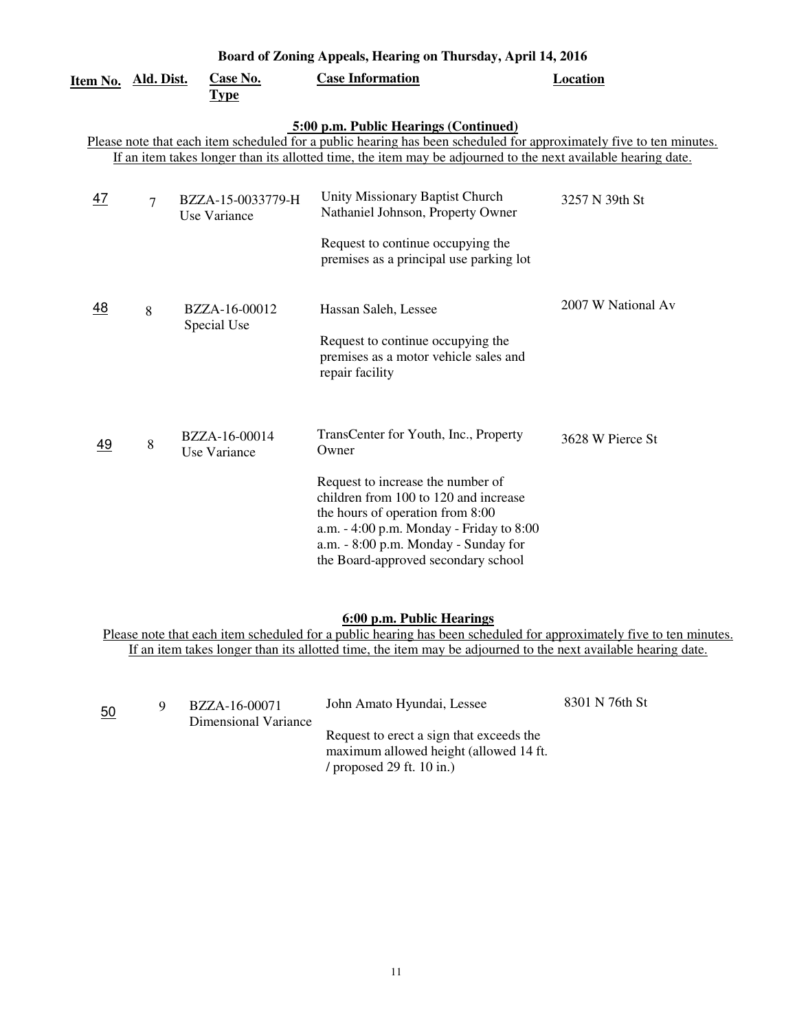| Item No.                                                                                                                                                                                                                                                                      | Ald. Dist.     | Case No.<br><b>Type</b>           | <b>Case Information</b>                                                                                                                                                                                                                                                                     | Location           |  |  |
|-------------------------------------------------------------------------------------------------------------------------------------------------------------------------------------------------------------------------------------------------------------------------------|----------------|-----------------------------------|---------------------------------------------------------------------------------------------------------------------------------------------------------------------------------------------------------------------------------------------------------------------------------------------|--------------------|--|--|
| 5:00 p.m. Public Hearings (Continued)<br>Please note that each item scheduled for a public hearing has been scheduled for approximately five to ten minutes.<br>If an item takes longer than its allotted time, the item may be adjourned to the next available hearing date. |                |                                   |                                                                                                                                                                                                                                                                                             |                    |  |  |
| <u>47</u>                                                                                                                                                                                                                                                                     | $\overline{7}$ | BZZA-15-0033779-H<br>Use Variance | Unity Missionary Baptist Church<br>Nathaniel Johnson, Property Owner<br>Request to continue occupying the<br>premises as a principal use parking lot                                                                                                                                        | 3257 N 39th St     |  |  |
| <u>48</u>                                                                                                                                                                                                                                                                     | 8              | BZZA-16-00012<br>Special Use      | Hassan Saleh, Lessee<br>Request to continue occupying the<br>premises as a motor vehicle sales and<br>repair facility                                                                                                                                                                       | 2007 W National Av |  |  |
| 49                                                                                                                                                                                                                                                                            | 8              | BZZA-16-00014<br>Use Variance     | TransCenter for Youth, Inc., Property<br>Owner<br>Request to increase the number of<br>children from 100 to 120 and increase<br>the hours of operation from 8:00<br>a.m. - 4:00 p.m. Monday - Friday to 8:00<br>a.m. - 8:00 p.m. Monday - Sunday for<br>the Board-approved secondary school | 3628 W Pierce St   |  |  |

#### **6:00 p.m. Public Hearings**

Please note that each item scheduled for a public hearing has been scheduled for approximately five to ten minutes. If an item takes longer than its allotted time, the item may be adjourned to the next available hearing date.

| 50 | BZZA-16-00071<br>Dimensional Variance | John Amato Hyundai, Lessee                                                                                        | 8301 N 76th St |
|----|---------------------------------------|-------------------------------------------------------------------------------------------------------------------|----------------|
|    |                                       | Request to erect a sign that exceeds the<br>maximum allowed height (allowed 14 ft.<br>/ proposed 29 ft. $10$ in.) |                |